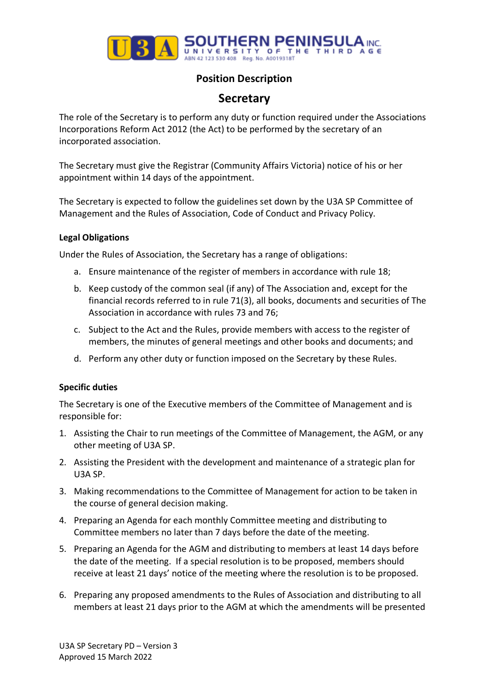

# **Position Description**

# **Secretary**

The role of the Secretary is to perform any duty or function required under the Associations Incorporations Reform Act 2012 (the Act) to be performed by the secretary of an incorporated association.

The Secretary must give the Registrar (Community Affairs Victoria) notice of his or her appointment within 14 days of the appointment.

The Secretary is expected to follow the guidelines set down by the U3A SP Committee of Management and the Rules of Association, Code of Conduct and Privacy Policy.

### **Legal Obligations**

Under the Rules of Association, the Secretary has a range of obligations:

- a. Ensure maintenance of the register of members in accordance with rule 18;
- b. Keep custody of the common seal (if any) of The Association and, except for the financial records referred to in rule 71(3), all books, documents and securities of The Association in accordance with rules 73 and 76;
- c. Subject to the Act and the Rules, provide members with access to the register of members, the minutes of general meetings and other books and documents; and
- d. Perform any other duty or function imposed on the Secretary by these Rules.

## **Specific duties**

The Secretary is one of the Executive members of the Committee of Management and is responsible for:

- 1. Assisting the Chair to run meetings of the Committee of Management, the AGM, or any other meeting of U3A SP.
- 2. Assisting the President with the development and maintenance of a strategic plan for U3A SP.
- 3. Making recommendations to the Committee of Management for action to be taken in the course of general decision making.
- 4. Preparing an Agenda for each monthly Committee meeting and distributing to Committee members no later than 7 days before the date of the meeting.
- 5. Preparing an Agenda for the AGM and distributing to members at least 14 days before the date of the meeting. If a special resolution is to be proposed, members should receive at least 21 days' notice of the meeting where the resolution is to be proposed.
- 6. Preparing any proposed amendments to the Rules of Association and distributing to all members at least 21 days prior to the AGM at which the amendments will be presented